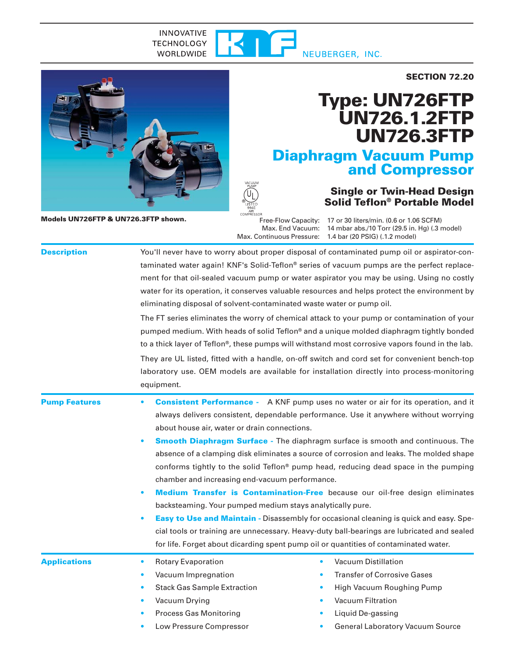#### **INNOVATIVE** 41 **TECHNOLOGY** WORLDWIDE NEUBERGER, INC.





**Models UN726FTP & UN726.3FTP shown.**

# **Type: UN726FTP UN726.1.2FTP UN726.3FTP**

## **Diaphragm Vacuum Pump and Compressor**

### **Single or Twin-Head Design Solid Teflon® Portable Model**

Free-Flow Capacity: 17 or 30 liters/min. (0.6 or 1.06 SCFM) Max. End Vacuum: 14 mbar abs./10 Torr (29.5 in. Hg) (.3 model) Max. Continuous Pressure: 1.4 bar (20 PSIG) (.1.2 model)

| <b>Description</b>   | You'll never have to worry about proper disposal of contaminated pump oil or aspirator-con-<br>taminated water again! KNF's Solid-Teflon® series of vacuum pumps are the perfect replace-<br>ment for that oil-sealed vacuum pump or water aspirator you may be using. Using no costly<br>water for its operation, it conserves valuable resources and helps protect the environment by<br>eliminating disposal of solvent-contaminated waste water or pump oil.<br>The FT series eliminates the worry of chemical attack to your pump or contamination of your<br>pumped medium. With heads of solid Teflon® and a unique molded diaphragm tightly bonded<br>to a thick layer of Teflon®, these pumps will withstand most corrosive vapors found in the lab.<br>They are UL listed, fitted with a handle, on-off switch and cord set for convenient bench-top<br>laboratory use. OEM models are available for installation directly into process-monitoring<br>equipment.                                      |
|----------------------|-----------------------------------------------------------------------------------------------------------------------------------------------------------------------------------------------------------------------------------------------------------------------------------------------------------------------------------------------------------------------------------------------------------------------------------------------------------------------------------------------------------------------------------------------------------------------------------------------------------------------------------------------------------------------------------------------------------------------------------------------------------------------------------------------------------------------------------------------------------------------------------------------------------------------------------------------------------------------------------------------------------------|
| <b>Pump Features</b> | <b>Consistent Performance</b> - A KNF pump uses no water or air for its operation, and it<br>$\bullet$<br>always delivers consistent, dependable performance. Use it anywhere without worrying<br>about house air, water or drain connections.<br><b>Smooth Diaphragm Surface - The diaphragm surface is smooth and continuous. The</b><br>absence of a clamping disk eliminates a source of corrosion and leaks. The molded shape<br>conforms tightly to the solid Teflon® pump head, reducing dead space in the pumping<br>chamber and increasing end-vacuum performance.<br>Medium Transfer is Contamination-Free because our oil-free design eliminates<br>backsteaming. Your pumped medium stays analytically pure.<br><b>Easy to Use and Maintain - Disassembly for occasional cleaning is quick and easy. Spe-</b><br>cial tools or training are unnecessary. Heavy-duty ball-bearings are lubricated and sealed<br>for life. Forget about dicarding spent pump oil or quantities of contaminated water. |
| <b>Applications</b>  | <b>Vacuum Distillation</b><br><b>Rotary Evaporation</b><br>$\bullet$<br>$\bullet$<br><b>Transfer of Corrosive Gases</b><br>Vacuum Impregnation<br>$\bullet$<br><b>Stack Gas Sample Extraction</b><br>High Vacuum Roughing Pump<br>$\bullet$<br>Vacuum Filtration<br>Vacuum Drying<br><b>Process Gas Monitoring</b><br>Liquid De-gassing<br>Low Pressure Compressor<br><b>General Laboratory Vacuum Source</b><br>٠                                                                                                                                                                                                                                                                                                                                                                                                                                                                                                                                                                                              |